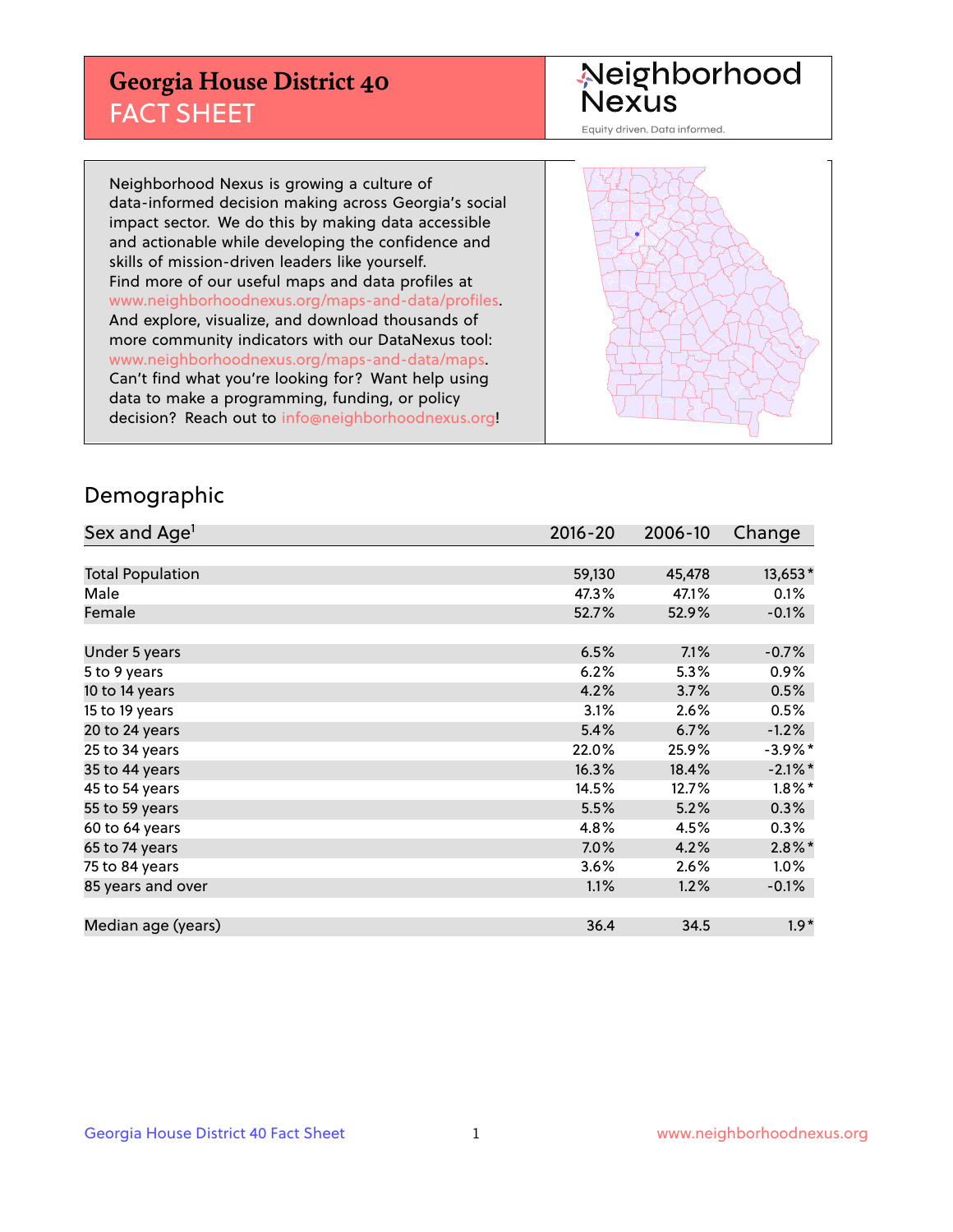## **Georgia House District 40** FACT SHEET

# Neighborhood<br>Nexus

Equity driven. Data informed.

Neighborhood Nexus is growing a culture of data-informed decision making across Georgia's social impact sector. We do this by making data accessible and actionable while developing the confidence and skills of mission-driven leaders like yourself. Find more of our useful maps and data profiles at www.neighborhoodnexus.org/maps-and-data/profiles. And explore, visualize, and download thousands of more community indicators with our DataNexus tool: www.neighborhoodnexus.org/maps-and-data/maps. Can't find what you're looking for? Want help using data to make a programming, funding, or policy decision? Reach out to [info@neighborhoodnexus.org!](mailto:info@neighborhoodnexus.org)



### Demographic

| Sex and Age <sup>1</sup> | $2016 - 20$ | 2006-10 | Change     |
|--------------------------|-------------|---------|------------|
|                          |             |         |            |
| <b>Total Population</b>  | 59,130      | 45,478  | 13,653*    |
| Male                     | 47.3%       | 47.1%   | 0.1%       |
| Female                   | 52.7%       | 52.9%   | $-0.1%$    |
|                          |             |         |            |
| Under 5 years            | 6.5%        | 7.1%    | $-0.7%$    |
| 5 to 9 years             | 6.2%        | 5.3%    | $0.9\%$    |
| 10 to 14 years           | 4.2%        | 3.7%    | 0.5%       |
| 15 to 19 years           | 3.1%        | 2.6%    | 0.5%       |
| 20 to 24 years           | 5.4%        | 6.7%    | $-1.2%$    |
| 25 to 34 years           | 22.0%       | 25.9%   | $-3.9\%$ * |
| 35 to 44 years           | 16.3%       | 18.4%   | $-2.1\%$ * |
| 45 to 54 years           | 14.5%       | 12.7%   | $1.8\%$ *  |
| 55 to 59 years           | 5.5%        | 5.2%    | 0.3%       |
| 60 to 64 years           | 4.8%        | 4.5%    | $0.3\%$    |
| 65 to 74 years           | 7.0%        | 4.2%    | $2.8\%$ *  |
| 75 to 84 years           | $3.6\%$     | 2.6%    | $1.0\%$    |
| 85 years and over        | 1.1%        | 1.2%    | $-0.1\%$   |
|                          |             |         |            |
| Median age (years)       | 36.4        | 34.5    | $1.9*$     |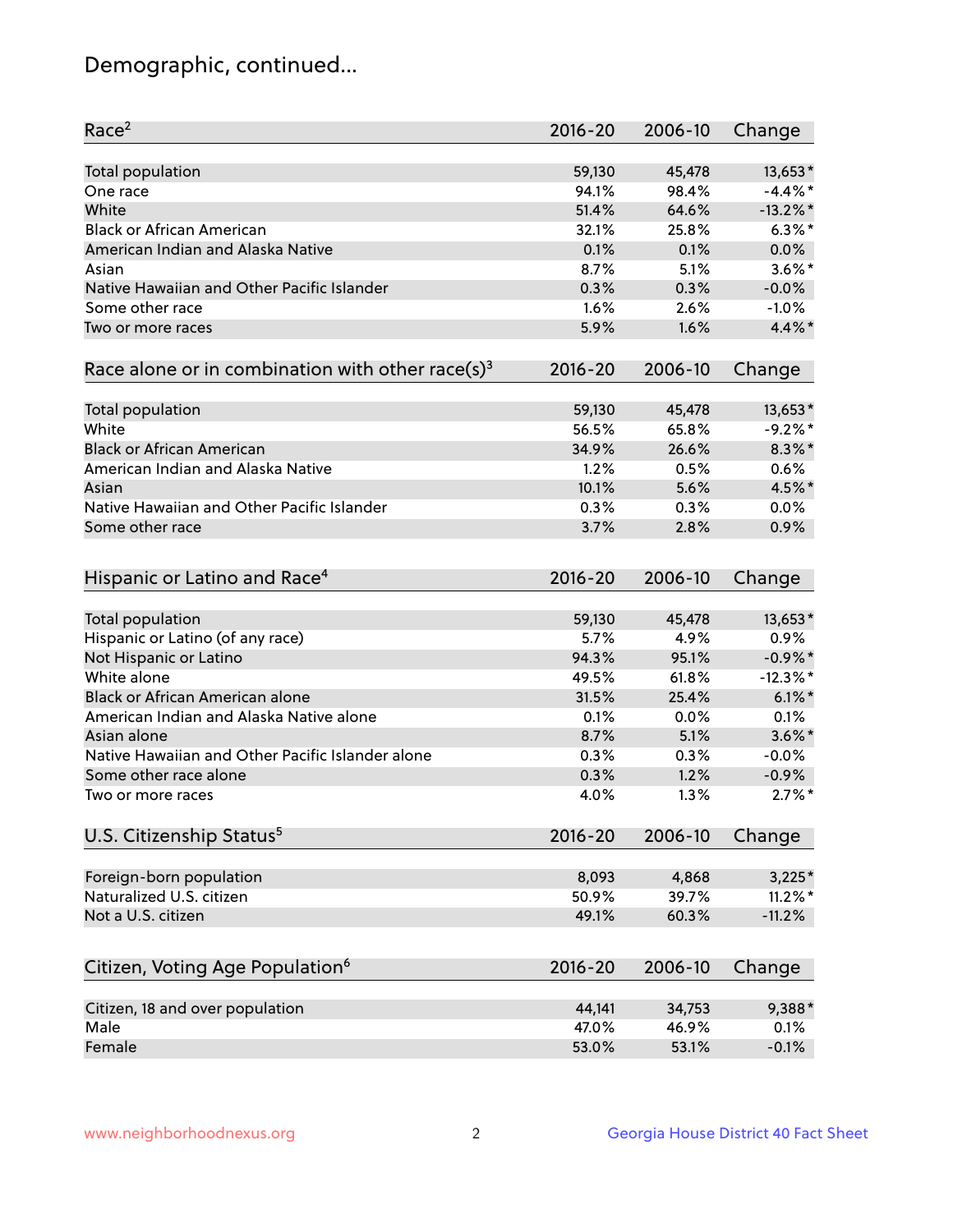## Demographic, continued...

| 13,653*<br><b>Total population</b><br>59,130<br>45,478<br>$-4.4\%$ *<br>94.1%<br>98.4%<br>One race<br>White<br>51.4%<br>$-13.2\%$ *<br>64.6%<br>$6.3\%$ *<br><b>Black or African American</b><br>32.1%<br>25.8%<br>American Indian and Alaska Native<br>0.1%<br>0.1%<br>0.0%<br>$3.6\%$ *<br>8.7%<br>5.1%<br>Asian<br>Native Hawaiian and Other Pacific Islander<br>0.3%<br>0.3%<br>$-0.0%$<br>$-1.0%$<br>Some other race<br>1.6%<br>2.6%<br>$4.4\%$ *<br>1.6%<br>5.9%<br>Two or more races<br>Race alone or in combination with other race(s) <sup>3</sup><br>$2016 - 20$<br>2006-10<br>Change<br>59,130<br>13,653*<br>Total population<br>45,478<br>White<br>$-9.2%$ *<br>56.5%<br>65.8%<br><b>Black or African American</b><br>26.6%<br>$8.3\%$ *<br>34.9%<br>American Indian and Alaska Native<br>0.6%<br>1.2%<br>0.5%<br>4.5%*<br>10.1%<br>5.6%<br>Asian<br>Native Hawaiian and Other Pacific Islander<br>0.3%<br>0.3%<br>0.0%<br>3.7%<br>2.8%<br>0.9%<br>Some other race<br>Hispanic or Latino and Race <sup>4</sup><br>$2016 - 20$<br>2006-10<br>Change<br><b>Total population</b><br>13,653*<br>59,130<br>45,478<br>Hispanic or Latino (of any race)<br>5.7%<br>4.9%<br>0.9%<br>Not Hispanic or Latino<br>94.3%<br>$-0.9\%$ *<br>95.1%<br>White alone<br>$-12.3\%$ *<br>49.5%<br>61.8%<br>Black or African American alone<br>$6.1\%$ *<br>31.5%<br>25.4%<br>American Indian and Alaska Native alone<br>0.1%<br>0.1%<br>0.0%<br>$3.6\%$ *<br>Asian alone<br>8.7%<br>5.1%<br>Native Hawaiian and Other Pacific Islander alone<br>0.3%<br>0.3%<br>$-0.0%$<br>$-0.9%$<br>Some other race alone<br>0.3%<br>1.2%<br>$2.7\%$ *<br>4.0%<br>1.3%<br>Two or more races<br>U.S. Citizenship Status <sup>5</sup><br>2016-20<br>2006-10<br>Change<br>Foreign-born population<br>8,093<br>4,868<br>$3,225*$<br>Naturalized U.S. citizen<br>$11.2\%$ *<br>50.9%<br>39.7%<br>Not a U.S. citizen<br>$-11.2%$<br>49.1%<br>60.3%<br>Citizen, Voting Age Population <sup>6</sup><br>2016-20<br>2006-10<br>Change<br>Citizen, 18 and over population<br>44,141<br>9,388*<br>34,753<br>Male<br>47.0%<br>46.9%<br>0.1% | Race <sup>2</sup> | $2016 - 20$ | 2006-10 | Change  |
|---------------------------------------------------------------------------------------------------------------------------------------------------------------------------------------------------------------------------------------------------------------------------------------------------------------------------------------------------------------------------------------------------------------------------------------------------------------------------------------------------------------------------------------------------------------------------------------------------------------------------------------------------------------------------------------------------------------------------------------------------------------------------------------------------------------------------------------------------------------------------------------------------------------------------------------------------------------------------------------------------------------------------------------------------------------------------------------------------------------------------------------------------------------------------------------------------------------------------------------------------------------------------------------------------------------------------------------------------------------------------------------------------------------------------------------------------------------------------------------------------------------------------------------------------------------------------------------------------------------------------------------------------------------------------------------------------------------------------------------------------------------------------------------------------------------------------------------------------------------------------------------------------------------------------------------------------------------------------------------------------------------------------------------------------------------------------------------------------------|-------------------|-------------|---------|---------|
|                                                                                                                                                                                                                                                                                                                                                                                                                                                                                                                                                                                                                                                                                                                                                                                                                                                                                                                                                                                                                                                                                                                                                                                                                                                                                                                                                                                                                                                                                                                                                                                                                                                                                                                                                                                                                                                                                                                                                                                                                                                                                                         |                   |             |         |         |
|                                                                                                                                                                                                                                                                                                                                                                                                                                                                                                                                                                                                                                                                                                                                                                                                                                                                                                                                                                                                                                                                                                                                                                                                                                                                                                                                                                                                                                                                                                                                                                                                                                                                                                                                                                                                                                                                                                                                                                                                                                                                                                         |                   |             |         |         |
|                                                                                                                                                                                                                                                                                                                                                                                                                                                                                                                                                                                                                                                                                                                                                                                                                                                                                                                                                                                                                                                                                                                                                                                                                                                                                                                                                                                                                                                                                                                                                                                                                                                                                                                                                                                                                                                                                                                                                                                                                                                                                                         |                   |             |         |         |
|                                                                                                                                                                                                                                                                                                                                                                                                                                                                                                                                                                                                                                                                                                                                                                                                                                                                                                                                                                                                                                                                                                                                                                                                                                                                                                                                                                                                                                                                                                                                                                                                                                                                                                                                                                                                                                                                                                                                                                                                                                                                                                         |                   |             |         |         |
|                                                                                                                                                                                                                                                                                                                                                                                                                                                                                                                                                                                                                                                                                                                                                                                                                                                                                                                                                                                                                                                                                                                                                                                                                                                                                                                                                                                                                                                                                                                                                                                                                                                                                                                                                                                                                                                                                                                                                                                                                                                                                                         |                   |             |         |         |
|                                                                                                                                                                                                                                                                                                                                                                                                                                                                                                                                                                                                                                                                                                                                                                                                                                                                                                                                                                                                                                                                                                                                                                                                                                                                                                                                                                                                                                                                                                                                                                                                                                                                                                                                                                                                                                                                                                                                                                                                                                                                                                         |                   |             |         |         |
|                                                                                                                                                                                                                                                                                                                                                                                                                                                                                                                                                                                                                                                                                                                                                                                                                                                                                                                                                                                                                                                                                                                                                                                                                                                                                                                                                                                                                                                                                                                                                                                                                                                                                                                                                                                                                                                                                                                                                                                                                                                                                                         |                   |             |         |         |
|                                                                                                                                                                                                                                                                                                                                                                                                                                                                                                                                                                                                                                                                                                                                                                                                                                                                                                                                                                                                                                                                                                                                                                                                                                                                                                                                                                                                                                                                                                                                                                                                                                                                                                                                                                                                                                                                                                                                                                                                                                                                                                         |                   |             |         |         |
|                                                                                                                                                                                                                                                                                                                                                                                                                                                                                                                                                                                                                                                                                                                                                                                                                                                                                                                                                                                                                                                                                                                                                                                                                                                                                                                                                                                                                                                                                                                                                                                                                                                                                                                                                                                                                                                                                                                                                                                                                                                                                                         |                   |             |         |         |
|                                                                                                                                                                                                                                                                                                                                                                                                                                                                                                                                                                                                                                                                                                                                                                                                                                                                                                                                                                                                                                                                                                                                                                                                                                                                                                                                                                                                                                                                                                                                                                                                                                                                                                                                                                                                                                                                                                                                                                                                                                                                                                         |                   |             |         |         |
|                                                                                                                                                                                                                                                                                                                                                                                                                                                                                                                                                                                                                                                                                                                                                                                                                                                                                                                                                                                                                                                                                                                                                                                                                                                                                                                                                                                                                                                                                                                                                                                                                                                                                                                                                                                                                                                                                                                                                                                                                                                                                                         |                   |             |         |         |
|                                                                                                                                                                                                                                                                                                                                                                                                                                                                                                                                                                                                                                                                                                                                                                                                                                                                                                                                                                                                                                                                                                                                                                                                                                                                                                                                                                                                                                                                                                                                                                                                                                                                                                                                                                                                                                                                                                                                                                                                                                                                                                         |                   |             |         |         |
|                                                                                                                                                                                                                                                                                                                                                                                                                                                                                                                                                                                                                                                                                                                                                                                                                                                                                                                                                                                                                                                                                                                                                                                                                                                                                                                                                                                                                                                                                                                                                                                                                                                                                                                                                                                                                                                                                                                                                                                                                                                                                                         |                   |             |         |         |
|                                                                                                                                                                                                                                                                                                                                                                                                                                                                                                                                                                                                                                                                                                                                                                                                                                                                                                                                                                                                                                                                                                                                                                                                                                                                                                                                                                                                                                                                                                                                                                                                                                                                                                                                                                                                                                                                                                                                                                                                                                                                                                         |                   |             |         |         |
|                                                                                                                                                                                                                                                                                                                                                                                                                                                                                                                                                                                                                                                                                                                                                                                                                                                                                                                                                                                                                                                                                                                                                                                                                                                                                                                                                                                                                                                                                                                                                                                                                                                                                                                                                                                                                                                                                                                                                                                                                                                                                                         |                   |             |         |         |
|                                                                                                                                                                                                                                                                                                                                                                                                                                                                                                                                                                                                                                                                                                                                                                                                                                                                                                                                                                                                                                                                                                                                                                                                                                                                                                                                                                                                                                                                                                                                                                                                                                                                                                                                                                                                                                                                                                                                                                                                                                                                                                         |                   |             |         |         |
|                                                                                                                                                                                                                                                                                                                                                                                                                                                                                                                                                                                                                                                                                                                                                                                                                                                                                                                                                                                                                                                                                                                                                                                                                                                                                                                                                                                                                                                                                                                                                                                                                                                                                                                                                                                                                                                                                                                                                                                                                                                                                                         |                   |             |         |         |
|                                                                                                                                                                                                                                                                                                                                                                                                                                                                                                                                                                                                                                                                                                                                                                                                                                                                                                                                                                                                                                                                                                                                                                                                                                                                                                                                                                                                                                                                                                                                                                                                                                                                                                                                                                                                                                                                                                                                                                                                                                                                                                         |                   |             |         |         |
|                                                                                                                                                                                                                                                                                                                                                                                                                                                                                                                                                                                                                                                                                                                                                                                                                                                                                                                                                                                                                                                                                                                                                                                                                                                                                                                                                                                                                                                                                                                                                                                                                                                                                                                                                                                                                                                                                                                                                                                                                                                                                                         |                   |             |         |         |
|                                                                                                                                                                                                                                                                                                                                                                                                                                                                                                                                                                                                                                                                                                                                                                                                                                                                                                                                                                                                                                                                                                                                                                                                                                                                                                                                                                                                                                                                                                                                                                                                                                                                                                                                                                                                                                                                                                                                                                                                                                                                                                         |                   |             |         |         |
|                                                                                                                                                                                                                                                                                                                                                                                                                                                                                                                                                                                                                                                                                                                                                                                                                                                                                                                                                                                                                                                                                                                                                                                                                                                                                                                                                                                                                                                                                                                                                                                                                                                                                                                                                                                                                                                                                                                                                                                                                                                                                                         |                   |             |         |         |
|                                                                                                                                                                                                                                                                                                                                                                                                                                                                                                                                                                                                                                                                                                                                                                                                                                                                                                                                                                                                                                                                                                                                                                                                                                                                                                                                                                                                                                                                                                                                                                                                                                                                                                                                                                                                                                                                                                                                                                                                                                                                                                         |                   |             |         |         |
|                                                                                                                                                                                                                                                                                                                                                                                                                                                                                                                                                                                                                                                                                                                                                                                                                                                                                                                                                                                                                                                                                                                                                                                                                                                                                                                                                                                                                                                                                                                                                                                                                                                                                                                                                                                                                                                                                                                                                                                                                                                                                                         |                   |             |         |         |
|                                                                                                                                                                                                                                                                                                                                                                                                                                                                                                                                                                                                                                                                                                                                                                                                                                                                                                                                                                                                                                                                                                                                                                                                                                                                                                                                                                                                                                                                                                                                                                                                                                                                                                                                                                                                                                                                                                                                                                                                                                                                                                         |                   |             |         |         |
|                                                                                                                                                                                                                                                                                                                                                                                                                                                                                                                                                                                                                                                                                                                                                                                                                                                                                                                                                                                                                                                                                                                                                                                                                                                                                                                                                                                                                                                                                                                                                                                                                                                                                                                                                                                                                                                                                                                                                                                                                                                                                                         |                   |             |         |         |
|                                                                                                                                                                                                                                                                                                                                                                                                                                                                                                                                                                                                                                                                                                                                                                                                                                                                                                                                                                                                                                                                                                                                                                                                                                                                                                                                                                                                                                                                                                                                                                                                                                                                                                                                                                                                                                                                                                                                                                                                                                                                                                         |                   |             |         |         |
|                                                                                                                                                                                                                                                                                                                                                                                                                                                                                                                                                                                                                                                                                                                                                                                                                                                                                                                                                                                                                                                                                                                                                                                                                                                                                                                                                                                                                                                                                                                                                                                                                                                                                                                                                                                                                                                                                                                                                                                                                                                                                                         |                   |             |         |         |
|                                                                                                                                                                                                                                                                                                                                                                                                                                                                                                                                                                                                                                                                                                                                                                                                                                                                                                                                                                                                                                                                                                                                                                                                                                                                                                                                                                                                                                                                                                                                                                                                                                                                                                                                                                                                                                                                                                                                                                                                                                                                                                         |                   |             |         |         |
|                                                                                                                                                                                                                                                                                                                                                                                                                                                                                                                                                                                                                                                                                                                                                                                                                                                                                                                                                                                                                                                                                                                                                                                                                                                                                                                                                                                                                                                                                                                                                                                                                                                                                                                                                                                                                                                                                                                                                                                                                                                                                                         |                   |             |         |         |
|                                                                                                                                                                                                                                                                                                                                                                                                                                                                                                                                                                                                                                                                                                                                                                                                                                                                                                                                                                                                                                                                                                                                                                                                                                                                                                                                                                                                                                                                                                                                                                                                                                                                                                                                                                                                                                                                                                                                                                                                                                                                                                         |                   |             |         |         |
|                                                                                                                                                                                                                                                                                                                                                                                                                                                                                                                                                                                                                                                                                                                                                                                                                                                                                                                                                                                                                                                                                                                                                                                                                                                                                                                                                                                                                                                                                                                                                                                                                                                                                                                                                                                                                                                                                                                                                                                                                                                                                                         |                   |             |         |         |
|                                                                                                                                                                                                                                                                                                                                                                                                                                                                                                                                                                                                                                                                                                                                                                                                                                                                                                                                                                                                                                                                                                                                                                                                                                                                                                                                                                                                                                                                                                                                                                                                                                                                                                                                                                                                                                                                                                                                                                                                                                                                                                         |                   |             |         |         |
|                                                                                                                                                                                                                                                                                                                                                                                                                                                                                                                                                                                                                                                                                                                                                                                                                                                                                                                                                                                                                                                                                                                                                                                                                                                                                                                                                                                                                                                                                                                                                                                                                                                                                                                                                                                                                                                                                                                                                                                                                                                                                                         |                   |             |         |         |
|                                                                                                                                                                                                                                                                                                                                                                                                                                                                                                                                                                                                                                                                                                                                                                                                                                                                                                                                                                                                                                                                                                                                                                                                                                                                                                                                                                                                                                                                                                                                                                                                                                                                                                                                                                                                                                                                                                                                                                                                                                                                                                         |                   |             |         |         |
|                                                                                                                                                                                                                                                                                                                                                                                                                                                                                                                                                                                                                                                                                                                                                                                                                                                                                                                                                                                                                                                                                                                                                                                                                                                                                                                                                                                                                                                                                                                                                                                                                                                                                                                                                                                                                                                                                                                                                                                                                                                                                                         |                   |             |         |         |
|                                                                                                                                                                                                                                                                                                                                                                                                                                                                                                                                                                                                                                                                                                                                                                                                                                                                                                                                                                                                                                                                                                                                                                                                                                                                                                                                                                                                                                                                                                                                                                                                                                                                                                                                                                                                                                                                                                                                                                                                                                                                                                         |                   |             |         |         |
|                                                                                                                                                                                                                                                                                                                                                                                                                                                                                                                                                                                                                                                                                                                                                                                                                                                                                                                                                                                                                                                                                                                                                                                                                                                                                                                                                                                                                                                                                                                                                                                                                                                                                                                                                                                                                                                                                                                                                                                                                                                                                                         |                   |             |         |         |
|                                                                                                                                                                                                                                                                                                                                                                                                                                                                                                                                                                                                                                                                                                                                                                                                                                                                                                                                                                                                                                                                                                                                                                                                                                                                                                                                                                                                                                                                                                                                                                                                                                                                                                                                                                                                                                                                                                                                                                                                                                                                                                         |                   |             |         |         |
|                                                                                                                                                                                                                                                                                                                                                                                                                                                                                                                                                                                                                                                                                                                                                                                                                                                                                                                                                                                                                                                                                                                                                                                                                                                                                                                                                                                                                                                                                                                                                                                                                                                                                                                                                                                                                                                                                                                                                                                                                                                                                                         | Female            | 53.0%       | 53.1%   | $-0.1%$ |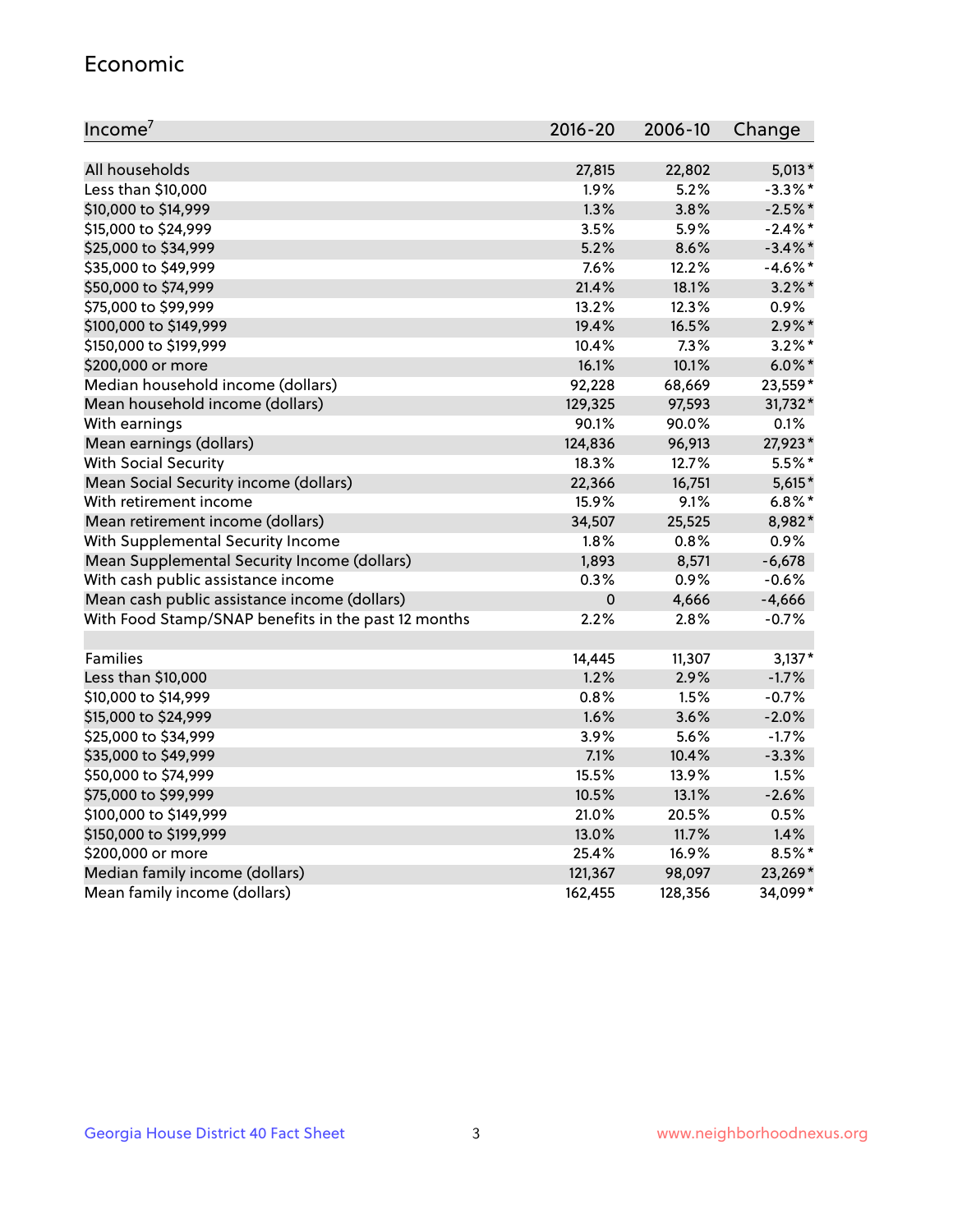#### Economic

| Income <sup>7</sup>                                 | $2016 - 20$ | 2006-10 | Change     |
|-----------------------------------------------------|-------------|---------|------------|
|                                                     |             |         |            |
| All households                                      | 27,815      | 22,802  | $5,013*$   |
| Less than \$10,000                                  | 1.9%        | 5.2%    | $-3.3\%$ * |
| \$10,000 to \$14,999                                | 1.3%        | 3.8%    | $-2.5%$ *  |
| \$15,000 to \$24,999                                | 3.5%        | 5.9%    | $-2.4\%$ * |
| \$25,000 to \$34,999                                | 5.2%        | 8.6%    | $-3.4\%$ * |
| \$35,000 to \$49,999                                | 7.6%        | 12.2%   | $-4.6%$ *  |
| \$50,000 to \$74,999                                | 21.4%       | 18.1%   | $3.2\%$ *  |
| \$75,000 to \$99,999                                | 13.2%       | 12.3%   | 0.9%       |
| \$100,000 to \$149,999                              | 19.4%       | 16.5%   | $2.9\%$ *  |
| \$150,000 to \$199,999                              | 10.4%       | 7.3%    | $3.2\%$ *  |
| \$200,000 or more                                   | 16.1%       | 10.1%   | $6.0\%$ *  |
| Median household income (dollars)                   | 92,228      | 68,669  | 23,559*    |
| Mean household income (dollars)                     | 129,325     | 97,593  | 31,732*    |
| With earnings                                       | 90.1%       | 90.0%   | 0.1%       |
| Mean earnings (dollars)                             | 124,836     | 96,913  | 27,923*    |
| <b>With Social Security</b>                         | 18.3%       | 12.7%   | $5.5%$ *   |
| Mean Social Security income (dollars)               | 22,366      | 16,751  | $5,615*$   |
| With retirement income                              | 15.9%       | 9.1%    | $6.8\%$ *  |
| Mean retirement income (dollars)                    | 34,507      | 25,525  | 8,982*     |
| With Supplemental Security Income                   | $1.8\%$     | 0.8%    | 0.9%       |
| Mean Supplemental Security Income (dollars)         | 1,893       | 8,571   | $-6,678$   |
| With cash public assistance income                  | 0.3%        | 0.9%    | $-0.6%$    |
| Mean cash public assistance income (dollars)        | $\pmb{0}$   | 4,666   | $-4,666$   |
| With Food Stamp/SNAP benefits in the past 12 months | 2.2%        | 2.8%    | $-0.7%$    |
|                                                     |             |         |            |
| Families                                            | 14,445      | 11,307  | $3,137*$   |
| Less than \$10,000                                  | 1.2%        | 2.9%    | $-1.7%$    |
| \$10,000 to \$14,999                                | 0.8%        | 1.5%    | $-0.7%$    |
| \$15,000 to \$24,999                                | 1.6%        | 3.6%    | $-2.0%$    |
| \$25,000 to \$34,999                                | 3.9%        | 5.6%    | $-1.7%$    |
| \$35,000 to \$49,999                                | 7.1%        | 10.4%   | $-3.3%$    |
| \$50,000 to \$74,999                                | 15.5%       | 13.9%   | 1.5%       |
| \$75,000 to \$99,999                                | 10.5%       | 13.1%   | $-2.6%$    |
| \$100,000 to \$149,999                              | 21.0%       | 20.5%   | 0.5%       |
| \$150,000 to \$199,999                              | 13.0%       | 11.7%   | 1.4%       |
| \$200,000 or more                                   | 25.4%       | 16.9%   | $8.5\%$ *  |
| Median family income (dollars)                      | 121,367     | 98,097  | 23,269*    |
| Mean family income (dollars)                        | 162,455     | 128,356 | 34,099*    |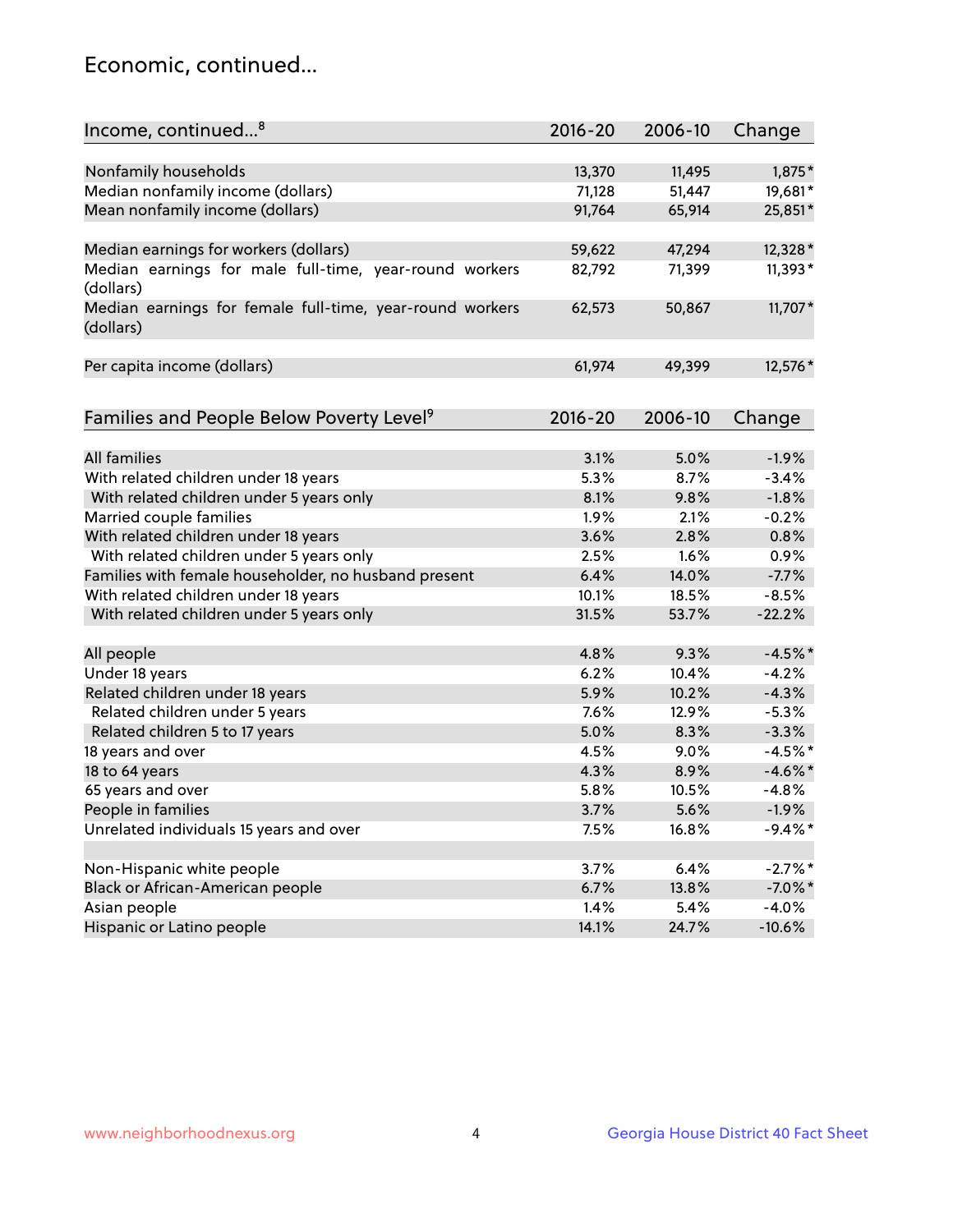## Economic, continued...

| Income, continued <sup>8</sup>                                        | $2016 - 20$ | 2006-10 | Change     |
|-----------------------------------------------------------------------|-------------|---------|------------|
|                                                                       |             |         |            |
| Nonfamily households                                                  | 13,370      | 11,495  | 1,875*     |
| Median nonfamily income (dollars)                                     | 71,128      | 51,447  | 19,681*    |
| Mean nonfamily income (dollars)                                       | 91,764      | 65,914  | 25,851*    |
| Median earnings for workers (dollars)                                 | 59,622      | 47,294  | 12,328*    |
| Median earnings for male full-time, year-round workers<br>(dollars)   | 82,792      | 71,399  | 11,393*    |
| Median earnings for female full-time, year-round workers<br>(dollars) | 62,573      | 50,867  | 11,707*    |
| Per capita income (dollars)                                           | 61,974      | 49,399  | 12,576 *   |
|                                                                       |             |         |            |
| Families and People Below Poverty Level <sup>9</sup>                  | $2016 - 20$ | 2006-10 | Change     |
| <b>All families</b>                                                   | 3.1%        | 5.0%    | $-1.9%$    |
| With related children under 18 years                                  | 5.3%        | 8.7%    | $-3.4%$    |
| With related children under 5 years only                              | 8.1%        | 9.8%    | $-1.8%$    |
| Married couple families                                               | 1.9%        | 2.1%    | $-0.2%$    |
| With related children under 18 years                                  | 3.6%        | 2.8%    | 0.8%       |
| With related children under 5 years only                              | 2.5%        | 1.6%    | 0.9%       |
| Families with female householder, no husband present                  | 6.4%        | 14.0%   | $-7.7%$    |
| With related children under 18 years                                  | 10.1%       | 18.5%   | $-8.5%$    |
| With related children under 5 years only                              | 31.5%       | 53.7%   | $-22.2%$   |
|                                                                       |             |         |            |
| All people                                                            | 4.8%        | 9.3%    | $-4.5%$ *  |
| Under 18 years                                                        | 6.2%        | 10.4%   | $-4.2%$    |
| Related children under 18 years                                       | 5.9%        | 10.2%   | $-4.3%$    |
| Related children under 5 years                                        | 7.6%        | 12.9%   | $-5.3%$    |
| Related children 5 to 17 years                                        | 5.0%        | 8.3%    | $-3.3%$    |
| 18 years and over                                                     | 4.5%        | 9.0%    | $-4.5%$ *  |
| 18 to 64 years                                                        | 4.3%        | 8.9%    | $-4.6\%$ * |
| 65 years and over                                                     | 5.8%        | 10.5%   | $-4.8%$    |
| People in families                                                    | 3.7%        | 5.6%    | $-1.9%$    |
| Unrelated individuals 15 years and over                               | 7.5%        | 16.8%   | $-9.4%$ *  |
|                                                                       |             |         |            |
| Non-Hispanic white people                                             | 3.7%        | 6.4%    | $-2.7%$ *  |
| Black or African-American people                                      | 6.7%        | 13.8%   | $-7.0\%$ * |
| Asian people                                                          | 1.4%        | 5.4%    | $-4.0%$    |
| Hispanic or Latino people                                             | 14.1%       | 24.7%   | $-10.6%$   |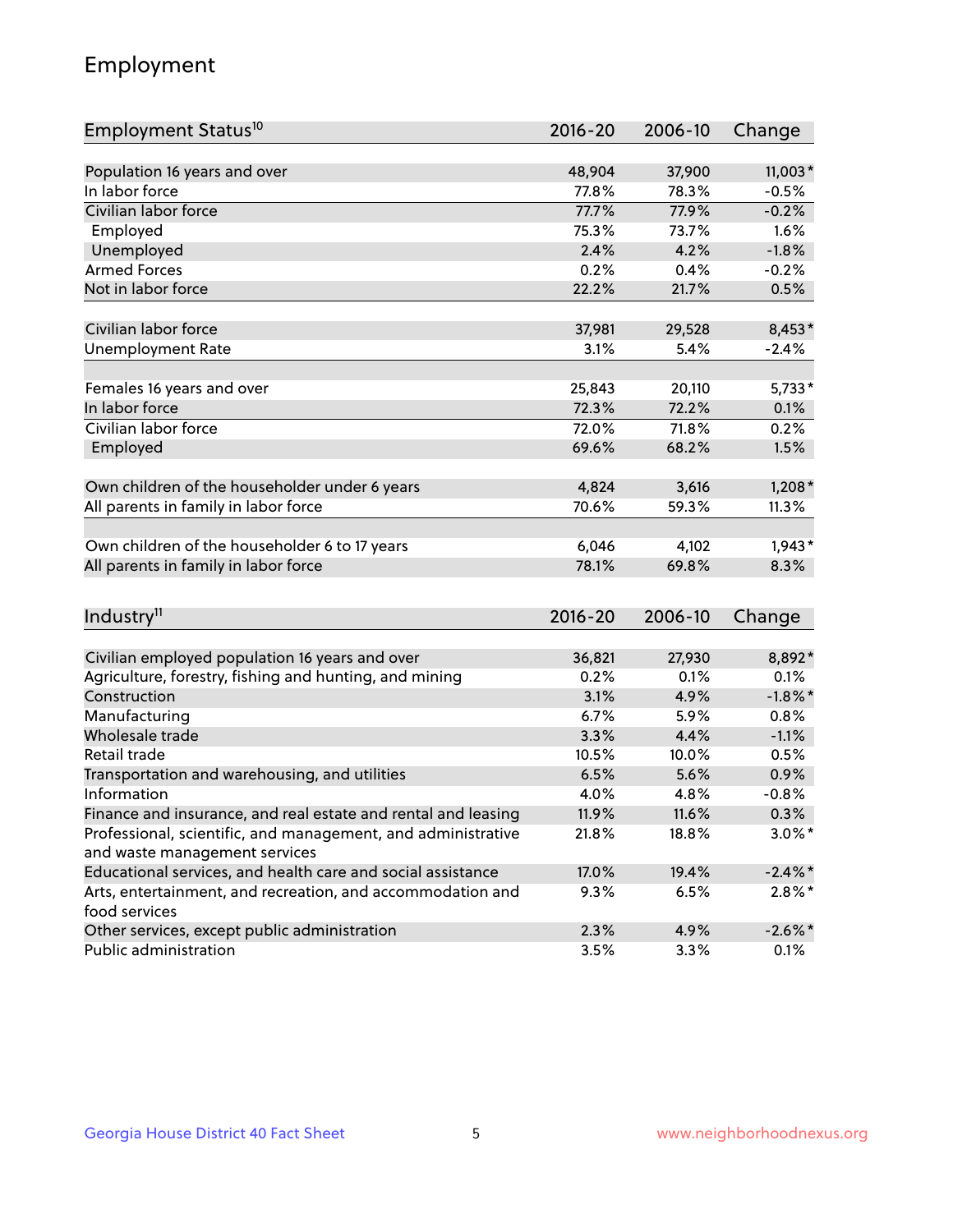## Employment

| Employment Status <sup>10</sup>                               | $2016 - 20$  | 2006-10        | Change             |
|---------------------------------------------------------------|--------------|----------------|--------------------|
|                                                               |              |                |                    |
| Population 16 years and over                                  | 48,904       | 37,900         | 11,003*            |
| In labor force                                                | 77.8%        | 78.3%          | $-0.5%$            |
| Civilian labor force                                          | 77.7%        | 77.9%          | $-0.2%$            |
| Employed                                                      | 75.3%        | 73.7%          | 1.6%               |
| Unemployed                                                    | 2.4%         | 4.2%           | $-1.8%$            |
| <b>Armed Forces</b>                                           | 0.2%         | 0.4%           | $-0.2%$            |
| Not in labor force                                            | 22.2%        | 21.7%          | 0.5%               |
| Civilian labor force                                          | 37,981       | 29,528         | 8,453*             |
| <b>Unemployment Rate</b>                                      | 3.1%         | 5.4%           | $-2.4%$            |
|                                                               |              |                |                    |
| Females 16 years and over                                     | 25,843       | 20,110         | $5,733*$           |
| In labor force                                                | 72.3%        | 72.2%          | 0.1%               |
| Civilian labor force                                          | 72.0%        | 71.8%          | 0.2%               |
| Employed                                                      | 69.6%        | 68.2%          | 1.5%               |
|                                                               |              |                |                    |
| Own children of the householder under 6 years                 | 4,824        | 3,616          | $1,208*$           |
| All parents in family in labor force                          | 70.6%        | 59.3%          | 11.3%              |
| Own children of the householder 6 to 17 years                 | 6,046        | 4,102          | $1,943*$           |
| All parents in family in labor force                          | 78.1%        | 69.8%          | 8.3%               |
|                                                               |              |                |                    |
| Industry <sup>11</sup>                                        | $2016 - 20$  | 2006-10        | Change             |
|                                                               |              |                |                    |
| Civilian employed population 16 years and over                | 36,821       | 27,930<br>0.1% | 8,892*             |
| Agriculture, forestry, fishing and hunting, and mining        | 0.2%<br>3.1% |                | 0.1%<br>$-1.8\%$ * |
| Construction<br>Manufacturing                                 | 6.7%         | 4.9%<br>5.9%   | 0.8%               |
| Wholesale trade                                               | 3.3%         | 4.4%           | $-1.1%$            |
| Retail trade                                                  | 10.5%        | 10.0%          | 0.5%               |
|                                                               | 6.5%         | 5.6%           | 0.9%               |
| Transportation and warehousing, and utilities<br>Information  | 4.0%         | 4.8%           | $-0.8%$            |
| Finance and insurance, and real estate and rental and leasing | 11.9%        | 11.6%          | 0.3%               |
| Professional, scientific, and management, and administrative  | 21.8%        | 18.8%          | $3.0\%$ *          |
| and waste management services                                 |              |                |                    |
| Educational services, and health care and social assistance   | 17.0%        | 19.4%          | $-2.4\%$ *         |
| Arts, entertainment, and recreation, and accommodation and    | 9.3%         | 6.5%           | $2.8\%$ *          |
| food services                                                 |              |                |                    |
| Other services, except public administration                  | 2.3%         | 4.9%           | $-2.6\%$ *         |
| Public administration                                         | 3.5%         | 3.3%           | 0.1%               |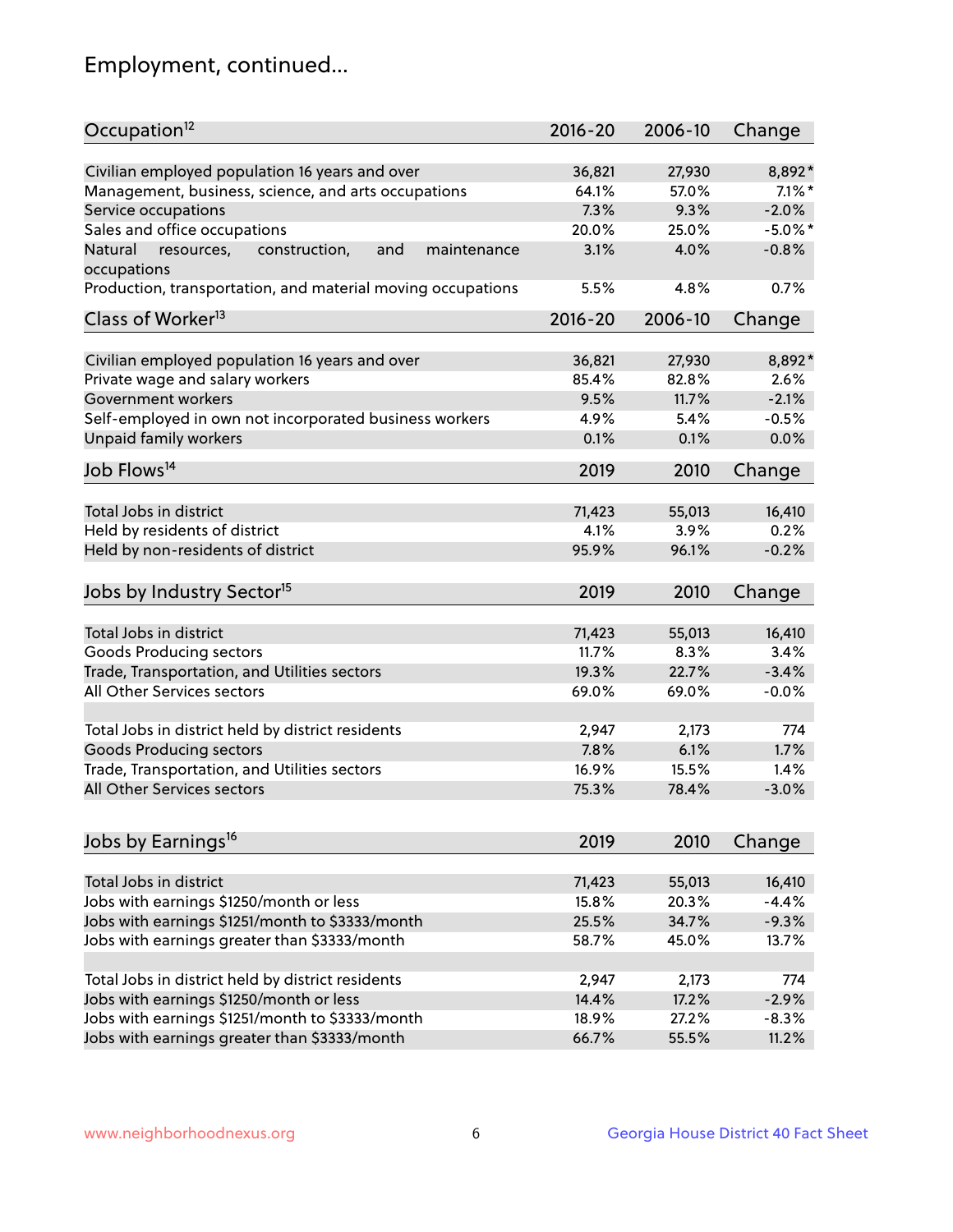## Employment, continued...

| Occupation <sup>12</sup>                                                    | $2016 - 20$ | 2006-10 | Change     |
|-----------------------------------------------------------------------------|-------------|---------|------------|
| Civilian employed population 16 years and over                              | 36,821      | 27,930  | 8,892*     |
| Management, business, science, and arts occupations                         | 64.1%       | 57.0%   | $7.1\%$ *  |
|                                                                             | 7.3%        | 9.3%    | $-2.0%$    |
| Service occupations<br>Sales and office occupations                         | 20.0%       | 25.0%   | $-5.0\%$ * |
|                                                                             |             |         |            |
| Natural<br>and<br>resources,<br>construction,<br>maintenance<br>occupations | 3.1%        | 4.0%    | $-0.8%$    |
| Production, transportation, and material moving occupations                 | 5.5%        | 4.8%    | 0.7%       |
| Class of Worker <sup>13</sup>                                               | $2016 - 20$ | 2006-10 | Change     |
| Civilian employed population 16 years and over                              | 36,821      | 27,930  | 8,892*     |
| Private wage and salary workers                                             | 85.4%       | 82.8%   | 2.6%       |
| Government workers                                                          | 9.5%        | 11.7%   | $-2.1%$    |
| Self-employed in own not incorporated business workers                      | 4.9%        | 5.4%    | $-0.5%$    |
| Unpaid family workers                                                       | 0.1%        | 0.1%    | 0.0%       |
|                                                                             |             |         |            |
| Job Flows <sup>14</sup>                                                     | 2019        | 2010    | Change     |
| Total Jobs in district                                                      | 71,423      | 55,013  | 16,410     |
| Held by residents of district                                               | 4.1%        | 3.9%    | 0.2%       |
| Held by non-residents of district                                           | 95.9%       | 96.1%   | $-0.2%$    |
| Jobs by Industry Sector <sup>15</sup>                                       | 2019        | 2010    | Change     |
| Total Jobs in district                                                      | 71,423      | 55,013  | 16,410     |
| Goods Producing sectors                                                     | 11.7%       | 8.3%    | 3.4%       |
| Trade, Transportation, and Utilities sectors                                | 19.3%       | 22.7%   | $-3.4%$    |
| All Other Services sectors                                                  | 69.0%       | 69.0%   | $-0.0%$    |
|                                                                             |             |         |            |
| Total Jobs in district held by district residents                           | 2,947       | 2,173   | 774        |
| <b>Goods Producing sectors</b>                                              | 7.8%        | 6.1%    | 1.7%       |
| Trade, Transportation, and Utilities sectors                                | 16.9%       | 15.5%   | 1.4%       |
| All Other Services sectors                                                  | 75.3%       | 78.4%   | $-3.0%$    |
|                                                                             |             |         |            |
| Jobs by Earnings <sup>16</sup>                                              | 2019        | 2010    | Change     |
| Total Jobs in district                                                      | 71,423      | 55,013  | 16,410     |
| Jobs with earnings \$1250/month or less                                     | 15.8%       | 20.3%   | $-4.4%$    |
| Jobs with earnings \$1251/month to \$3333/month                             | 25.5%       | 34.7%   | $-9.3%$    |
| Jobs with earnings greater than \$3333/month                                | 58.7%       | 45.0%   | 13.7%      |
|                                                                             |             |         |            |
| Total Jobs in district held by district residents                           | 2,947       | 2,173   | 774        |
| Jobs with earnings \$1250/month or less                                     | 14.4%       | 17.2%   | $-2.9%$    |
| Jobs with earnings \$1251/month to \$3333/month                             | 18.9%       | 27.2%   | $-8.3%$    |
| Jobs with earnings greater than \$3333/month                                | 66.7%       | 55.5%   | 11.2%      |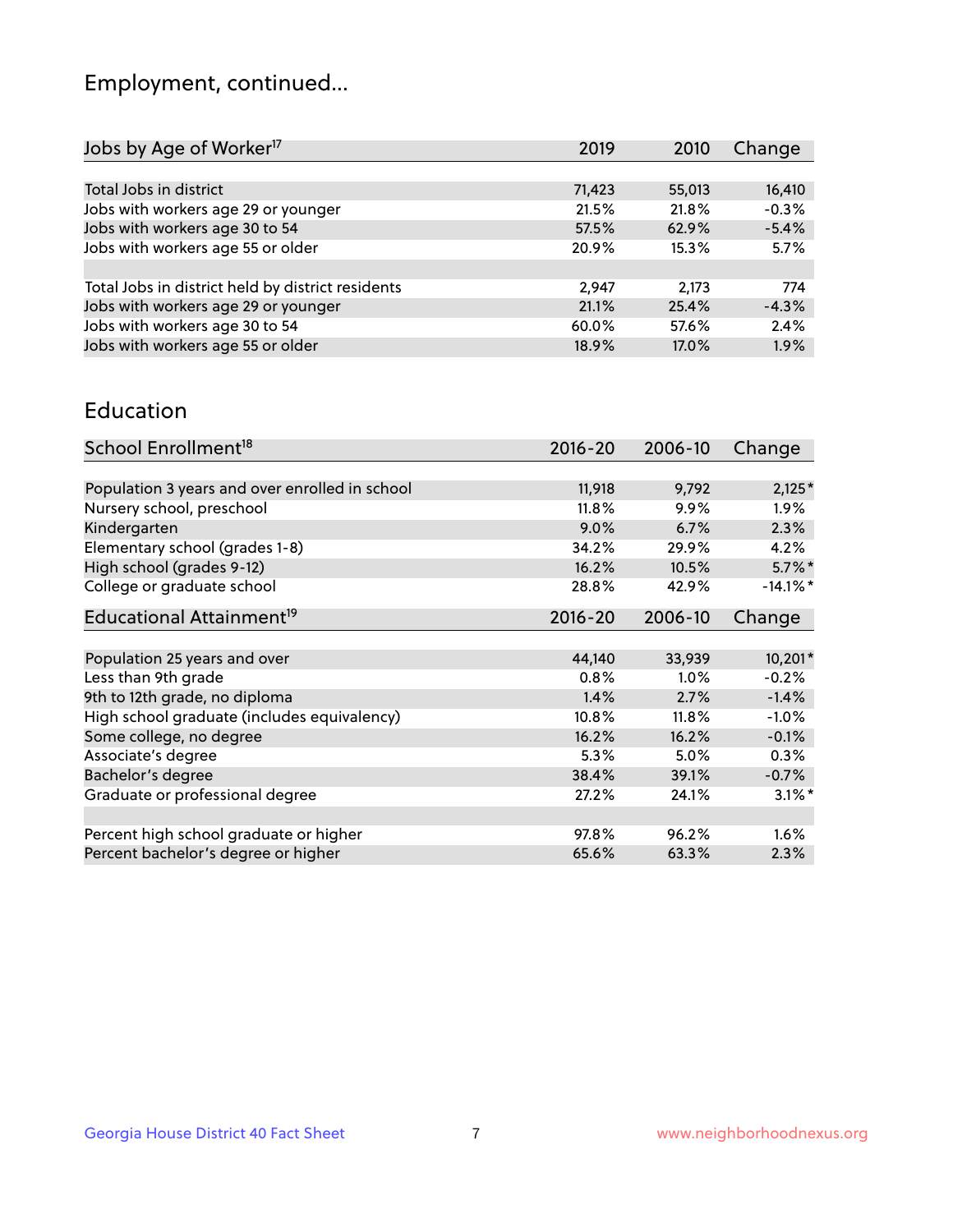## Employment, continued...

| Jobs by Age of Worker <sup>17</sup>               | 2019   | 2010   | Change  |
|---------------------------------------------------|--------|--------|---------|
|                                                   |        |        |         |
| Total Jobs in district                            | 71,423 | 55,013 | 16,410  |
| Jobs with workers age 29 or younger               | 21.5%  | 21.8%  | $-0.3%$ |
| Jobs with workers age 30 to 54                    | 57.5%  | 62.9%  | $-5.4%$ |
| Jobs with workers age 55 or older                 | 20.9%  | 15.3%  | 5.7%    |
|                                                   |        |        |         |
| Total Jobs in district held by district residents | 2,947  | 2,173  | 774     |
| Jobs with workers age 29 or younger               | 21.1%  | 25.4%  | $-4.3%$ |
| Jobs with workers age 30 to 54                    | 60.0%  | 57.6%  | 2.4%    |
| Jobs with workers age 55 or older                 | 18.9%  | 17.0%  | 1.9%    |
|                                                   |        |        |         |

#### Education

| School Enrollment <sup>18</sup>                | $2016 - 20$ | 2006-10  | Change               |
|------------------------------------------------|-------------|----------|----------------------|
|                                                |             |          |                      |
| Population 3 years and over enrolled in school | 11,918      | 9,792    | $2,125*$             |
| Nursery school, preschool                      | 11.8%       | $9.9\%$  | $1.9\%$              |
| Kindergarten                                   | 9.0%        | 6.7%     | 2.3%                 |
| Elementary school (grades 1-8)                 | 34.2%       | 29.9%    | 4.2%                 |
| High school (grades 9-12)                      | 16.2%       | 10.5%    | $5.7\%$ *            |
| College or graduate school                     | 28.8%       | 42.9%    | $-14.1\%$ *          |
| Educational Attainment <sup>19</sup>           | $2016 - 20$ | 2006-10  | Change               |
|                                                |             |          |                      |
| Population 25 years and over                   | 44,140      | 33,939   | 10,201*              |
| Less than 9th grade                            | 0.8%        | $1.0\%$  | $-0.2%$              |
| 9th to 12th grade, no diploma                  | 1.4%        | 2.7%     | $-1.4%$              |
| High school graduate (includes equivalency)    | 10.8%       | $11.8\%$ | $-1.0%$              |
| Some college, no degree                        | 16.2%       | 16.2%    | $-0.1%$              |
| Associate's degree                             | 5.3%        | 5.0%     | 0.3%                 |
| Bachelor's degree                              | 38.4%       | 39.1%    | $-0.7%$              |
| Graduate or professional degree                | 27.2%       | 24.1%    | $3.1\%$ <sup>*</sup> |
|                                                |             |          |                      |
| Percent high school graduate or higher         | 97.8%       | 96.2%    | 1.6%                 |
| Percent bachelor's degree or higher            | 65.6%       | 63.3%    | 2.3%                 |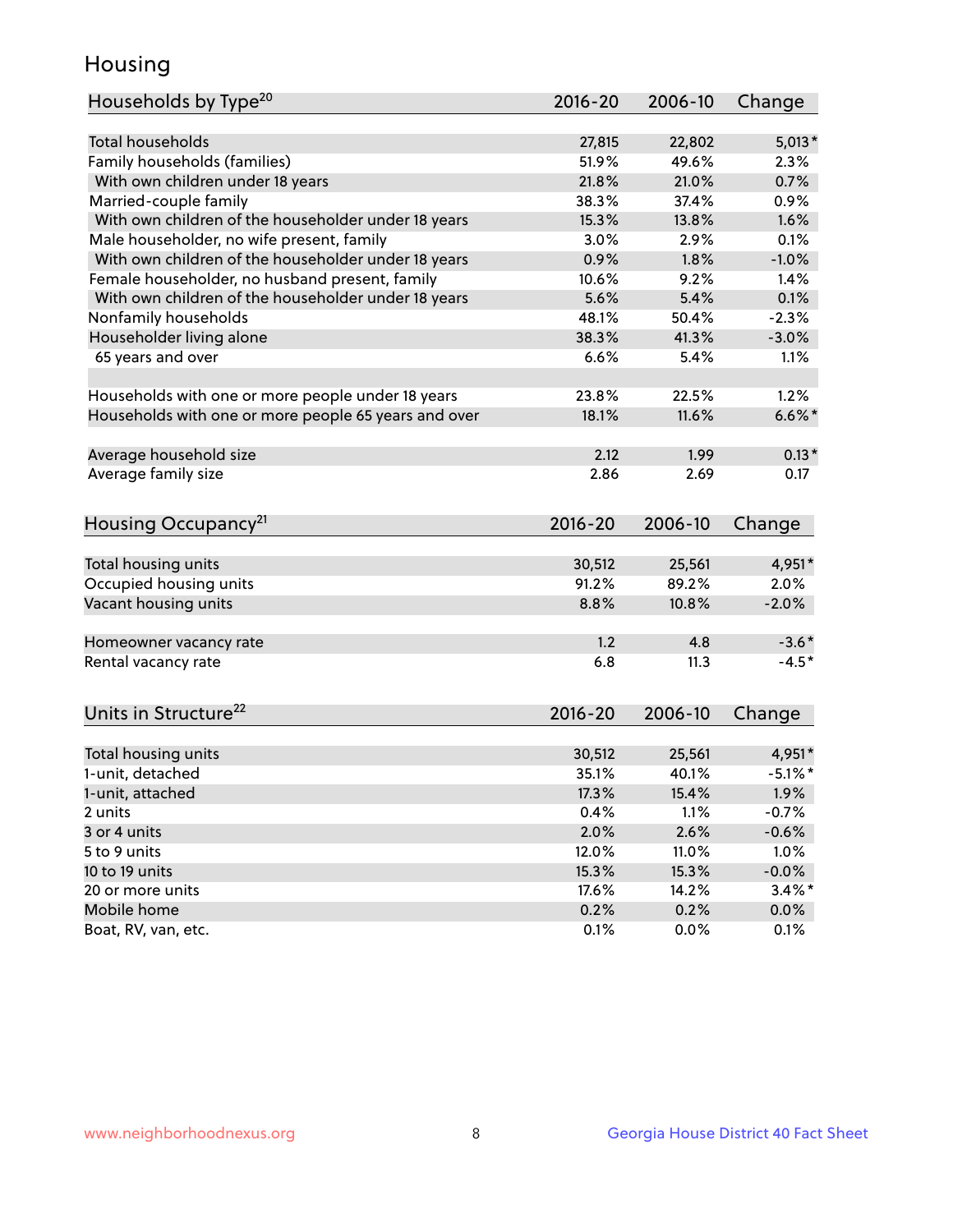## Housing

| Households by Type <sup>20</sup>                     | 2016-20     | 2006-10 | Change     |
|------------------------------------------------------|-------------|---------|------------|
|                                                      |             |         |            |
| <b>Total households</b>                              | 27,815      | 22,802  | $5,013*$   |
| Family households (families)                         | 51.9%       | 49.6%   | 2.3%       |
| With own children under 18 years                     | 21.8%       | 21.0%   | 0.7%       |
| Married-couple family                                | 38.3%       | 37.4%   | 0.9%       |
| With own children of the householder under 18 years  | 15.3%       | 13.8%   | 1.6%       |
| Male householder, no wife present, family            | 3.0%        | 2.9%    | 0.1%       |
| With own children of the householder under 18 years  | 0.9%        | 1.8%    | $-1.0%$    |
| Female householder, no husband present, family       | 10.6%       | 9.2%    | 1.4%       |
| With own children of the householder under 18 years  | 5.6%        | 5.4%    | 0.1%       |
| Nonfamily households                                 | 48.1%       | 50.4%   | $-2.3%$    |
| Householder living alone                             | 38.3%       | 41.3%   | $-3.0%$    |
| 65 years and over                                    | 6.6%        | 5.4%    | 1.1%       |
|                                                      |             |         |            |
| Households with one or more people under 18 years    | 23.8%       | 22.5%   | 1.2%       |
| Households with one or more people 65 years and over | 18.1%       | 11.6%   | $6.6\%$ *  |
|                                                      |             |         |            |
| Average household size                               | 2.12        | 1.99    | $0.13*$    |
| Average family size                                  | 2.86        | 2.69    | 0.17       |
|                                                      |             |         |            |
| Housing Occupancy <sup>21</sup>                      | 2016-20     | 2006-10 | Change     |
|                                                      |             |         |            |
| Total housing units                                  | 30,512      | 25,561  | 4,951*     |
| Occupied housing units                               | 91.2%       | 89.2%   | 2.0%       |
| Vacant housing units                                 | 8.8%        | 10.8%   | $-2.0%$    |
|                                                      |             |         |            |
| Homeowner vacancy rate                               | 1.2         | 4.8     | $-3.6*$    |
| Rental vacancy rate                                  | 6.8         | 11.3    | $-4.5*$    |
|                                                      |             |         |            |
| Units in Structure <sup>22</sup>                     | $2016 - 20$ | 2006-10 | Change     |
|                                                      |             |         |            |
| Total housing units                                  | 30,512      | 25,561  | 4,951*     |
| 1-unit, detached                                     | 35.1%       | 40.1%   | $-5.1\%$ * |
| 1-unit, attached                                     | 17.3%       | 15.4%   | 1.9%       |
| 2 units                                              | 0.4%        | 1.1%    | $-0.7%$    |
| 3 or 4 units                                         | 2.0%        | 2.6%    | $-0.6%$    |
| 5 to 9 units                                         | 12.0%       | 11.0%   | 1.0%       |
| 10 to 19 units                                       | 15.3%       | 15.3%   | $-0.0%$    |
| 20 or more units                                     | 17.6%       | 14.2%   | $3.4\%$ *  |
| Mobile home                                          | 0.2%        | 0.2%    | $0.0\%$    |
| Boat, RV, van, etc.                                  | 0.1%        | 0.0%    | 0.1%       |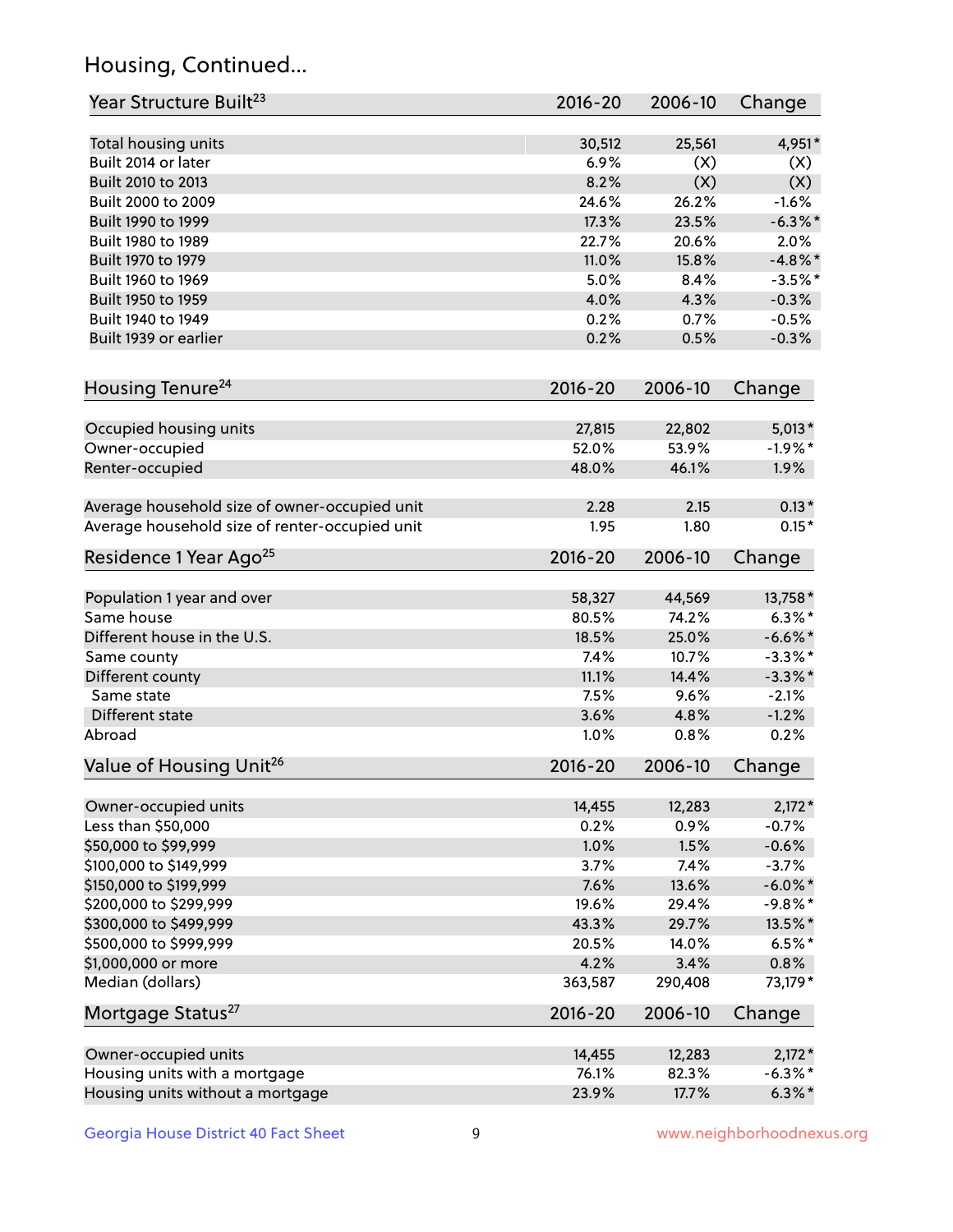## Housing, Continued...

| Year Structure Built <sup>23</sup>             | 2016-20     | 2006-10 | Change     |
|------------------------------------------------|-------------|---------|------------|
| Total housing units                            | 30,512      | 25,561  | 4,951*     |
| Built 2014 or later                            | 6.9%        | (X)     | (X)        |
| Built 2010 to 2013                             | 8.2%        | (X)     | (X)        |
| Built 2000 to 2009                             | 24.6%       | 26.2%   | $-1.6%$    |
| Built 1990 to 1999                             | 17.3%       | 23.5%   | $-6.3\%$ * |
| Built 1980 to 1989                             | 22.7%       | 20.6%   | 2.0%       |
| Built 1970 to 1979                             | 11.0%       | 15.8%   | $-4.8\%$ * |
| Built 1960 to 1969                             | 5.0%        | 8.4%    | $-3.5%$ *  |
| Built 1950 to 1959                             | 4.0%        | 4.3%    | $-0.3%$    |
| Built 1940 to 1949                             | 0.2%        | 0.7%    | $-0.5%$    |
| Built 1939 or earlier                          | 0.2%        | 0.5%    | $-0.3%$    |
| Housing Tenure <sup>24</sup>                   | 2016-20     | 2006-10 | Change     |
|                                                |             |         |            |
| Occupied housing units                         | 27,815      | 22,802  | $5,013*$   |
| Owner-occupied                                 | 52.0%       | 53.9%   | $-1.9%$ *  |
| Renter-occupied                                | 48.0%       | 46.1%   | 1.9%       |
| Average household size of owner-occupied unit  | 2.28        | 2.15    | $0.13*$    |
| Average household size of renter-occupied unit | 1.95        | 1.80    | $0.15*$    |
| Residence 1 Year Ago <sup>25</sup>             | 2016-20     | 2006-10 | Change     |
| Population 1 year and over                     | 58,327      | 44,569  | 13,758 *   |
| Same house                                     | 80.5%       | 74.2%   | $6.3\%$ *  |
| Different house in the U.S.                    | 18.5%       | 25.0%   | $-6.6\%$ * |
| Same county                                    | 7.4%        | 10.7%   | $-3.3\%$ * |
| Different county                               | 11.1%       | 14.4%   | $-3.3\%$ * |
| Same state                                     | 7.5%        | 9.6%    | $-2.1%$    |
| Different state                                | 3.6%        | 4.8%    | $-1.2%$    |
| Abroad                                         | 1.0%        | 0.8%    | 0.2%       |
| Value of Housing Unit <sup>26</sup>            | $2016 - 20$ | 2006-10 | Change     |
| Owner-occupied units                           | 14,455      | 12,283  | $2,172*$   |
| Less than \$50,000                             | 0.2%        | 0.9%    | $-0.7%$    |
| \$50,000 to \$99,999                           | 1.0%        | 1.5%    | $-0.6%$    |
| \$100,000 to \$149,999                         | 3.7%        | 7.4%    | $-3.7%$    |
| \$150,000 to \$199,999                         | 7.6%        | 13.6%   | $-6.0\%$ * |
| \$200,000 to \$299,999                         | 19.6%       | 29.4%   | $-9.8\%$ * |
| \$300,000 to \$499,999                         | 43.3%       | 29.7%   | 13.5%*     |
| \$500,000 to \$999,999                         | 20.5%       | 14.0%   | $6.5%$ *   |
| \$1,000,000 or more                            | 4.2%        | 3.4%    | 0.8%       |
| Median (dollars)                               | 363,587     | 290,408 | 73,179*    |
| Mortgage Status <sup>27</sup>                  | 2016-20     | 2006-10 | Change     |
|                                                |             |         |            |
| Owner-occupied units                           | 14,455      | 12,283  | $2,172*$   |
| Housing units with a mortgage                  | 76.1%       | 82.3%   | $-6.3\%$ * |
| Housing units without a mortgage               | 23.9%       | 17.7%   | $6.3\%*$   |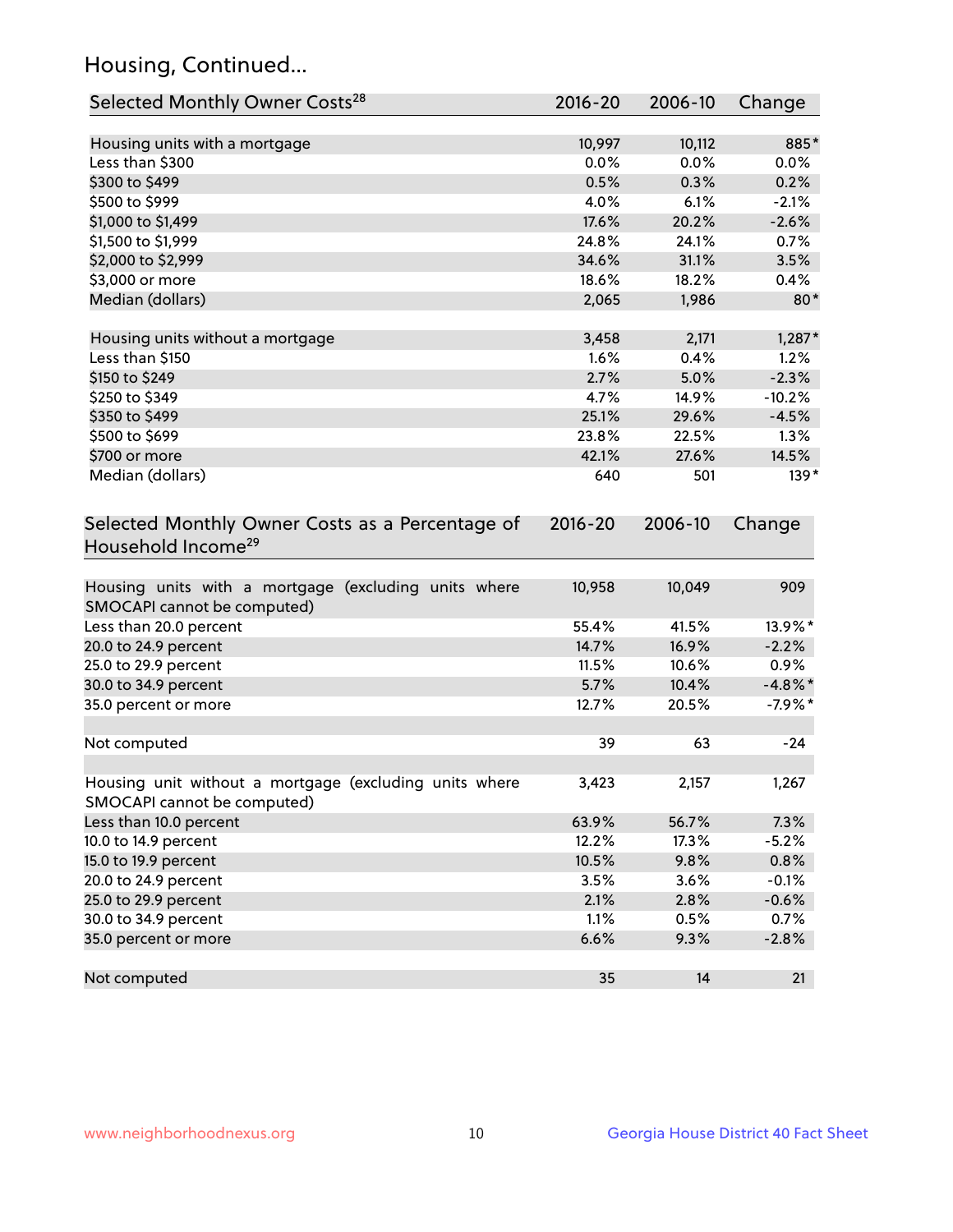## Housing, Continued...

| Selected Monthly Owner Costs <sup>28</sup>                                            | 2016-20     | 2006-10 | Change     |
|---------------------------------------------------------------------------------------|-------------|---------|------------|
| Housing units with a mortgage                                                         | 10,997      | 10,112  | 885*       |
| Less than \$300                                                                       | 0.0%        | 0.0%    | 0.0%       |
| \$300 to \$499                                                                        | 0.5%        | 0.3%    | 0.2%       |
| \$500 to \$999                                                                        | 4.0%        | 6.1%    | $-2.1%$    |
| \$1,000 to \$1,499                                                                    | 17.6%       | 20.2%   | $-2.6%$    |
| \$1,500 to \$1,999                                                                    | 24.8%       | 24.1%   | 0.7%       |
| \$2,000 to \$2,999                                                                    | 34.6%       | 31.1%   | 3.5%       |
| \$3,000 or more                                                                       | 18.6%       | 18.2%   | 0.4%       |
| Median (dollars)                                                                      | 2,065       | 1,986   | $80*$      |
| Housing units without a mortgage                                                      | 3,458       | 2,171   | $1,287*$   |
| Less than \$150                                                                       | 1.6%        | 0.4%    | 1.2%       |
| \$150 to \$249                                                                        | 2.7%        | 5.0%    | $-2.3%$    |
| \$250 to \$349                                                                        | 4.7%        | 14.9%   | $-10.2%$   |
| \$350 to \$499                                                                        | 25.1%       | 29.6%   | $-4.5%$    |
| \$500 to \$699                                                                        | 23.8%       | 22.5%   | 1.3%       |
| \$700 or more                                                                         | 42.1%       | 27.6%   | 14.5%      |
| Median (dollars)                                                                      | 640         | 501     | $139*$     |
| Selected Monthly Owner Costs as a Percentage of<br>Household Income <sup>29</sup>     | $2016 - 20$ | 2006-10 | Change     |
| Housing units with a mortgage (excluding units where<br>SMOCAPI cannot be computed)   | 10,958      | 10,049  | 909        |
| Less than 20.0 percent                                                                | 55.4%       | 41.5%   | 13.9%*     |
| 20.0 to 24.9 percent                                                                  | 14.7%       | 16.9%   | $-2.2%$    |
| 25.0 to 29.9 percent                                                                  | 11.5%       | 10.6%   | 0.9%       |
| 30.0 to 34.9 percent                                                                  | 5.7%        | 10.4%   | $-4.8\%$ * |
| 35.0 percent or more                                                                  | 12.7%       | 20.5%   | $-7.9%$ *  |
| Not computed                                                                          | 39          | 63      | $-24$      |
| Housing unit without a mortgage (excluding units where<br>SMOCAPI cannot be computed) | 3,423       | 2,157   | 1,267      |
| Less than 10.0 percent                                                                | 63.9%       | 56.7%   | 7.3%       |
| 10.0 to 14.9 percent                                                                  | 12.2%       | 17.3%   | $-5.2%$    |
| 15.0 to 19.9 percent                                                                  | 10.5%       | 9.8%    | 0.8%       |
| 20.0 to 24.9 percent                                                                  | 3.5%        | 3.6%    | $-0.1%$    |
| 25.0 to 29.9 percent                                                                  | 2.1%        | 2.8%    | $-0.6%$    |
| 30.0 to 34.9 percent                                                                  | 1.1%        | 0.5%    | 0.7%       |
| 35.0 percent or more                                                                  | 6.6%        | 9.3%    | $-2.8%$    |
| Not computed                                                                          | 35          | 14      | 21         |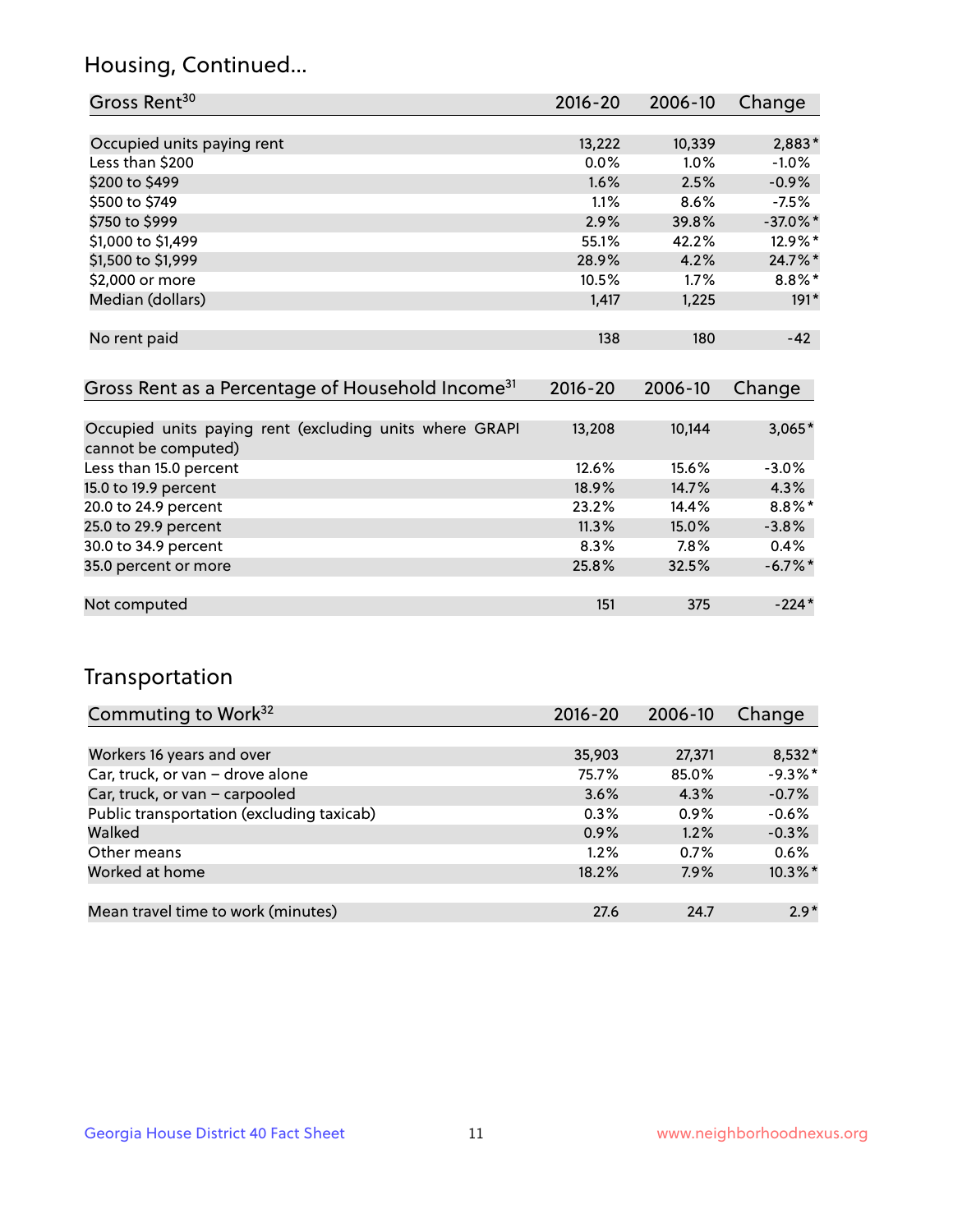## Housing, Continued...

| Gross Rent <sup>30</sup>   | 2016-20 | 2006-10 | Change      |
|----------------------------|---------|---------|-------------|
|                            |         |         |             |
| Occupied units paying rent | 13,222  | 10,339  | $2,883*$    |
| Less than \$200            | 0.0%    | 1.0%    | $-1.0%$     |
| \$200 to \$499             | 1.6%    | 2.5%    | $-0.9%$     |
| \$500 to \$749             | 1.1%    | 8.6%    | $-7.5%$     |
| \$750 to \$999             | 2.9%    | 39.8%   | $-37.0\%$ * |
| \$1,000 to \$1,499         | 55.1%   | 42.2%   | 12.9%*      |
| \$1,500 to \$1,999         | 28.9%   | 4.2%    | 24.7%*      |
| \$2,000 or more            | 10.5%   | 1.7%    | $8.8\%$ *   |
| Median (dollars)           | 1,417   | 1,225   | $191*$      |
|                            |         |         |             |
| No rent paid               | 138     | 180     | $-42$       |

| Gross Rent as a Percentage of Household Income <sup>31</sup>                   | $2016 - 20$ | 2006-10 | Change     |
|--------------------------------------------------------------------------------|-------------|---------|------------|
|                                                                                |             |         |            |
| Occupied units paying rent (excluding units where GRAPI<br>cannot be computed) | 13,208      | 10,144  | $3,065*$   |
| Less than 15.0 percent                                                         | 12.6%       | 15.6%   | $-3.0%$    |
| 15.0 to 19.9 percent                                                           | 18.9%       | 14.7%   | 4.3%       |
| 20.0 to 24.9 percent                                                           | 23.2%       | 14.4%   | $8.8\%$ *  |
| 25.0 to 29.9 percent                                                           | 11.3%       | 15.0%   | $-3.8%$    |
| 30.0 to 34.9 percent                                                           | $8.3\%$     | $7.8\%$ | 0.4%       |
| 35.0 percent or more                                                           | 25.8%       | 32.5%   | $-6.7\%$ * |
|                                                                                |             |         |            |
| Not computed                                                                   | 151         | 375     | $-224*$    |

## Transportation

| Commuting to Work <sup>32</sup>           | $2016 - 20$ | 2006-10 | Change     |
|-------------------------------------------|-------------|---------|------------|
|                                           |             |         |            |
| Workers 16 years and over                 | 35,903      | 27,371  | $8,532*$   |
| Car, truck, or van - drove alone          | 75.7%       | 85.0%   | $-9.3%$ *  |
| Car, truck, or van - carpooled            | 3.6%        | 4.3%    | $-0.7%$    |
| Public transportation (excluding taxicab) | 0.3%        | 0.9%    | $-0.6%$    |
| Walked                                    | 0.9%        | 1.2%    | $-0.3%$    |
| Other means                               | $1.2\%$     | $0.7\%$ | 0.6%       |
| Worked at home                            | 18.2%       | 7.9%    | $10.3\%$ * |
|                                           |             |         |            |
| Mean travel time to work (minutes)        | 27.6        | 24.7    | $2.9*$     |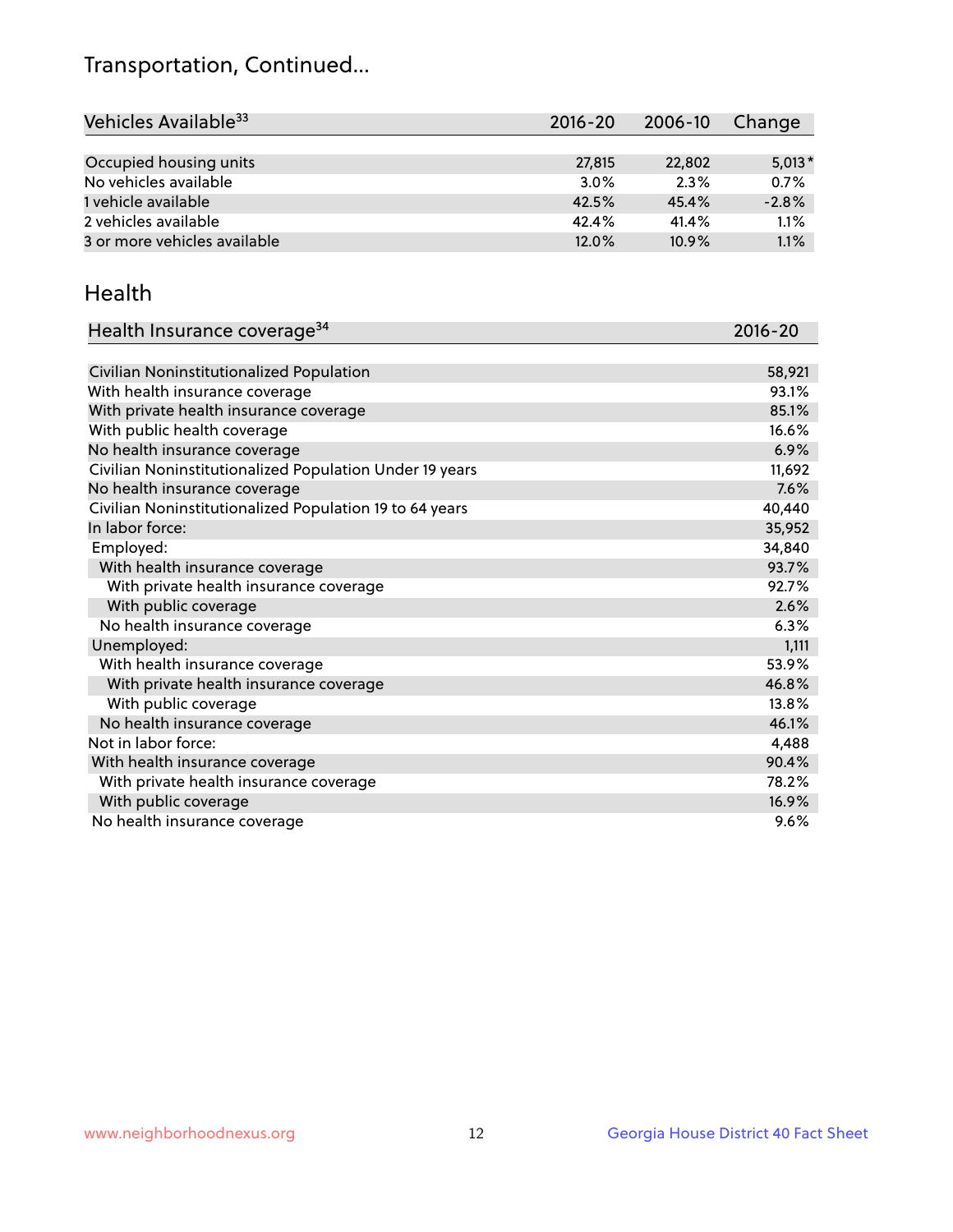## Transportation, Continued...

| Vehicles Available <sup>33</sup> | 2016-20 | 2006-10 | Change   |
|----------------------------------|---------|---------|----------|
|                                  |         |         |          |
| Occupied housing units           | 27,815  | 22,802  | $5,013*$ |
| No vehicles available            | 3.0%    | 2.3%    | 0.7%     |
| 1 vehicle available              | 42.5%   | 45.4%   | $-2.8%$  |
| 2 vehicles available             | 42.4%   | 41.4%   | 1.1%     |
| 3 or more vehicles available     | 12.0%   | 10.9%   | 1.1%     |

#### Health

| Health Insurance coverage <sup>34</sup>                 | 2016-20 |
|---------------------------------------------------------|---------|
|                                                         |         |
| Civilian Noninstitutionalized Population                | 58,921  |
| With health insurance coverage                          | 93.1%   |
| With private health insurance coverage                  | 85.1%   |
| With public health coverage                             | 16.6%   |
| No health insurance coverage                            | 6.9%    |
| Civilian Noninstitutionalized Population Under 19 years | 11,692  |
| No health insurance coverage                            | 7.6%    |
| Civilian Noninstitutionalized Population 19 to 64 years | 40,440  |
| In labor force:                                         | 35,952  |
| Employed:                                               | 34,840  |
| With health insurance coverage                          | 93.7%   |
| With private health insurance coverage                  | 92.7%   |
| With public coverage                                    | 2.6%    |
| No health insurance coverage                            | 6.3%    |
| Unemployed:                                             | 1,111   |
| With health insurance coverage                          | 53.9%   |
| With private health insurance coverage                  | 46.8%   |
| With public coverage                                    | 13.8%   |
| No health insurance coverage                            | 46.1%   |
| Not in labor force:                                     | 4,488   |
| With health insurance coverage                          | 90.4%   |
| With private health insurance coverage                  | 78.2%   |
| With public coverage                                    | 16.9%   |
| No health insurance coverage                            | 9.6%    |